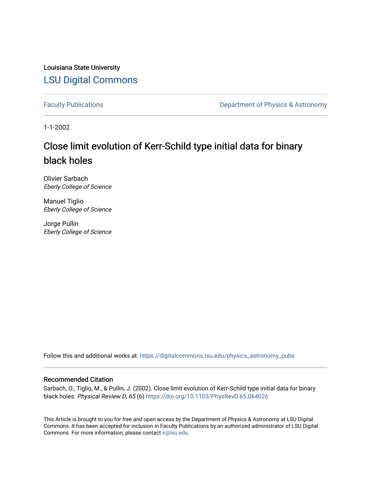Louisiana State University [LSU Digital Commons](https://digitalcommons.lsu.edu/)

[Faculty Publications](https://digitalcommons.lsu.edu/physics_astronomy_pubs) **Exercise 2 and Table 2 and Table 2 and Table 2 and Table 2 and Table 2 and Table 2 and Table 2 and Table 2 and Table 2 and Table 2 and Table 2 and Table 2 and Table 2 and Table 2 and Table 2 and Table** 

1-1-2002

# Close limit evolution of Kerr-Schild type initial data for binary black holes

Olivier Sarbach Eberly College of Science

Manuel Tiglio Eberly College of Science

Jorge Pullin Eberly College of Science

Follow this and additional works at: [https://digitalcommons.lsu.edu/physics\\_astronomy\\_pubs](https://digitalcommons.lsu.edu/physics_astronomy_pubs?utm_source=digitalcommons.lsu.edu%2Fphysics_astronomy_pubs%2F4404&utm_medium=PDF&utm_campaign=PDFCoverPages) 

# Recommended Citation

Sarbach, O., Tiglio, M., & Pullin, J. (2002). Close limit evolution of Kerr-Schild type initial data for binary black holes. Physical Review D, 65 (6) <https://doi.org/10.1103/PhysRevD.65.064026>

This Article is brought to you for free and open access by the Department of Physics & Astronomy at LSU Digital Commons. It has been accepted for inclusion in Faculty Publications by an authorized administrator of LSU Digital Commons. For more information, please contact [ir@lsu.edu](mailto:ir@lsu.edu).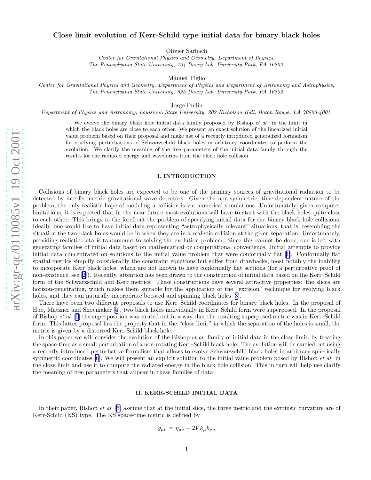# Close limit evolution of Kerr-Schild type initial data for binary black holes

Olivier Sarbach

Center for Gravitational Physics and Geometry, Department of Physics, The Pennsylvania State University, 104 Davey Lab, University Park, PA 16802.

Manuel Tiglio

Center for Gravitational Physics and Geometry, Department of Physics and Department of Astronomy and Astrophysics, The Pennsylvania State University, 525 Davey Lab, University Park, PA 16802.

Jorge Pullin

Department of Physics and Astronomy, Louisiana State University, 202 Nicholson Hall, Baton Rouge, LA 70803-4001.

We evolve the binary black hole initial data family proposed by Bishop *et al.* in the limit in which the black holes are close to each other. We present an exact solution of the linearized initial value problem based on their proposal and make use of a recently introduced generalized formalism for studying perturbations of Schwarzschild black holes in arbitrary coordinates to perform the evolution. We clarify the meaning of the free parameters of the initial data family through the results for the radiated energy and waveforms from the black hole collision.

## I. INTRODUCTION

Collisions of binary black holes are expected to be one of the primary sources of gravitational radiation to be detected by interferometric gravitational wave detectors. Given the non-symmetric, time-dependent nature of the problem, the only realistic hope of modeling a collision is via numerical simulations. Unfortunately, given computer limitations, it is expected that in the near future most evolutions will have to start with the black holes quite close to each other. This brings to the forefront the problem of specifying initial data for the binary black hole collisions. Ideally, one would like to have initial data representing "astrophysically relevant" situations, that is, resembling the situation the two black holes would be in when they are in a realistic collision at the given separation. Unfortunately, providing realistic data is tantamount to solving the evolution problem. Since this cannot be done, one is left with generating families of initial data based on mathematical or computational convenience. Initial attempts to provide initial data concentrated on solutions to the initial value problem that were conformally flat[[1\]](#page-8-0). Conformally flat spatial metrics simplify considerably the constraint equations but suffer from drawbacks, most notably the inability to incorporate Kerr black holes, which are not known to have conformally flat sections (for a perturbative proof of non-existence, see [\[2](#page-8-0)]). Recently, attention has been drawn to the construction of initial data based on the Kerr–Schild form of the Schwarzschild and Kerr metrics. These constructions have several attractive properties: the slices are horizon-penetrating, which makes them suitable for the application of the "excision" technique for evolving black holes,and they can naturally incorporate boosted and spinning black holes [[3\]](#page-8-0).

There have been two different proposals to use Kerr–Schild coordinates for binary black holes. In the proposal of Huq, Matzner and Shoemaker [\[4](#page-8-0)], two black holes individually in Kerr–Schild form were superposed. In the proposal of Bishop et al. [[5\]](#page-8-0) the superposition was carried out in a way that the resulting superposed metric was in Kerr–Schild form. This latter proposal has the property that in the "close limit" in which the separation of the holes is small, the metric is given by a distorted Kerr-Schild black hole.

In this paper we will consider the evolution of the Bishop *et al.* family of initial data in the close limit, by treating the space-time as a small perturbation of a non-rotating Kerr–Schild black hole. The evolution will be carried out using a recently introduced perturbative formalism that allows to evolve Schwarzschild black holes in arbitrary spherically symmetric coordinates  $[6]$ . We will present an explicit solution to the initial value problem posed by Bishop *et al.* in the close limit and use it to compute the radiated energy in the black hole collision. This in turn will help use clarify the meaning of free parameters that appear in these families of data.

# II. KERR-SCHILD INITIAL DATA

In their paper, Bishop *et al.* [\[5\]](#page-8-0) assume that at the initial slice, the three metric and the extrinsic curvature are of Kerr-Schild (KS) type. The KS space-time metric is defined by

$$
g_{\mu\nu} = \eta_{\mu\nu} - 2V k_{\mu} k_{\nu} ,
$$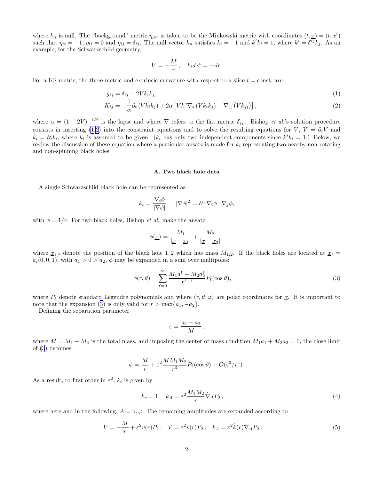<span id="page-2-0"></span>where  $k_{\mu}$  is null. The "background" metric  $\eta_{\mu\nu}$  is taken to be the Minkowski metric with coordinates  $(t, \underline{x}) = (t, x^i)$ such that  $\eta_{tt} = -1$ ,  $\eta_{ti} = 0$  and  $\eta_{ij} = \delta_{ij}$ . The null vector  $k_{\mu}$  satisfies  $k_t = -1$  and  $k^i k_i = 1$ , where  $k^i = \delta^{ij} k_j$ . As an example, for the Schwarzschild geometry,

$$
V = -\frac{M}{r}, \quad k_i dx^i = -dr.
$$

For a KS metric, the three metric and extrinsic curvature with respect to a slice  $t = \text{const.}$  are

$$
\bar{g}_{ij} = \delta_{ij} - 2Vk_i k_j,\tag{1}
$$

$$
K_{ij} = -\frac{1}{\alpha} \partial_t \left( V k_i k_j \right) + 2\alpha \left[ V k^s \nabla_s \left( V k_i k_j \right) - \nabla_{(i} \left( V k_j \right) \right) \right],\tag{2}
$$

where  $\alpha = (1 - 2V)^{-1/2}$  is the lapse and where  $\nabla$  refers to the flat metric  $\delta_{ij}$ . Bishop *et al.*'s solution procedure consists in inserting (1,2) into the constraint equations and to solve the resulting equations for V,  $\dot{V} = \partial_t V$  and  $\dot{k}_i = \partial_t k_i$ , where  $k_i$  is assumed to be given. ( $k_i$  has only two independent components since  $k^i k_i = 1$ .) Below, we review the discussion of these equation where a particular ansatz is made for  $k_i$  representing two nearby non-rotating and non-spinning black holes.

#### A. Two black hole data

A single Schwarzschild black hole can be represented as

$$
k_i = \frac{\nabla_i \phi}{|\nabla \phi|}, \quad |\nabla \phi|^2 = \delta^{ij} \nabla_i \phi \cdot \nabla_j \phi,
$$

with  $\phi = 1/r$ . For two black holes, Bishop *et al.* make the ansatz

$$
\phi(\underline{x}) = \frac{M_1}{|\underline{x} - \underline{x}_1|} + \frac{M_2}{|\underline{x} - \underline{x}_2|},
$$

where  $\underline{x}_{1,2}$  denote the position of the black hole 1, 2 which has mass  $M_{1,2}$ . If the black holes are located at  $\underline{x}_i =$  $a_i(0, 0, 1)$ , with  $a_1 > 0 > a_2$ ,  $\phi$  may be expanded in a sum over multipoles:

$$
\phi(r,\vartheta) = \sum_{\ell=0}^{\infty} \frac{M_1 a_1^{\ell} + M_2 a_2^{\ell}}{r^{\ell+1}} P_{\ell}(\cos \vartheta),\tag{3}
$$

where  $P_\ell$  denote standard Legendre polynomials and where  $(r, \vartheta, \varphi)$  are polar coordinates for <u>x</u>. It is important to note that the expansion (3) is only valid for  $r > \max\{a_1, -a_2\}$ .

Defining the separation parameter

$$
\varepsilon = \frac{a_1 - a_2}{M} \,,
$$

where  $M = M_1 + M_2$  is the total mass, and imposing the center of mass condition  $M_1a_1 + M_2a_2 = 0$ , the close limit of (3) becomes

$$
\phi = \frac{M}{r} + \varepsilon^2 \frac{M M_1 M_2}{r^3} P_2(\cos \vartheta) + \mathcal{O}(\varepsilon^3 / r^4).
$$

As a result, to first order in  $\varepsilon^2$ ,  $k_i$  is given by

$$
k_r = 1, \quad k_A = \varepsilon^2 \frac{M_1 M_2}{r} \hat{\nabla}_A P_2 \,, \tag{4}
$$

where here and in the following,  $A = \vartheta, \varphi$ . The remaining amplitudes are expanded according to

$$
V = -\frac{M}{r} + \varepsilon^2 v(r) P_2 \,, \quad \dot{V} = \varepsilon^2 \dot{v}(r) P_2 \,, \quad \dot{k}_A = \varepsilon^2 \dot{k}(r) \hat{\nabla}_A P_2 \,. \tag{5}
$$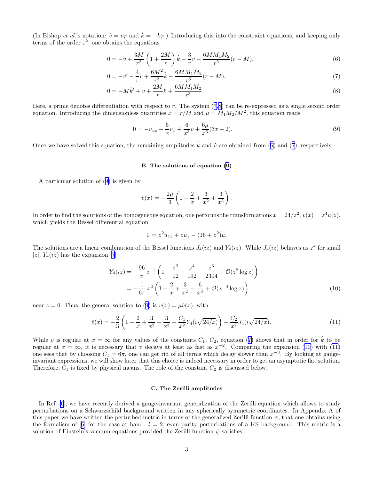<span id="page-3-0"></span>(In Bishop et al.'s notation:  $\dot{v} = v_T$  and  $\dot{k} = -k_T$ .) Introducing this into the constraint equations, and keeping only terms of the order  $\varepsilon^2$ , one obtains the equations

$$
0 = -\dot{v} + \frac{3M}{r^2} \left( 1 + \frac{2M}{r} \right) \dot{k} - \frac{3}{r} v - \frac{6MM_1M_2}{r^5} (r - M),\tag{6}
$$

$$
0 = -v' - \frac{4}{r}v + \frac{6M^2}{r^3}\dot{k} - \frac{6MM_1M_2}{r^5}(r - M),\tag{7}
$$

$$
0 = -M\dot{k}' + v + \frac{2M}{r}\dot{k} + \frac{6MM_1M_2}{r^3}.
$$
\n(8)

Here, a prime denotes differentiation with respect to  $r$ . The system  $(7,8)$  can be re-expressed as a single second order equation. Introducing the dimensionless quantities  $x = r/M$  and  $\mu = M_1 M_2/M^2$ , this equation reads

$$
0 = -v_{xx} - \frac{5}{x}v_x + \frac{6}{x^3}v + \frac{6\mu}{x^6}(3x+2). \tag{9}
$$

Once we have solved this equation, the remaining amplitudes  $\dot{k}$  and  $\dot{v}$  are obtained from (6) and (7), respectively.

#### B. The solutions of equation (9)

A particular solution of (9) is given by

$$
v(x) = -\frac{2\mu}{3} \left( 1 - \frac{2}{x} + \frac{3}{x^2} + \frac{3}{x^3} \right).
$$

In order to find the solutions of the homogeneous equation, one performs the transformations  $x = 24/z^2$ ,  $v(x) = z^4u(z)$ , which yields the Bessel differential equation

$$
0 = z^2 u_{zz} + z u_z - (16 + z^2) u.
$$

The solutions are a linear combination of the Bessel functions  $J_4(iz)$  and  $Y_4(iz)$ . While  $J_4(iz)$  behaves as  $z^4$  for small |z|,  $Y_4(iz)$  has the expansion [\[7](#page-8-0)]

$$
Y_4(iz) = -\frac{96}{\pi} z^{-4} \left( 1 - \frac{z^2}{12} + \frac{z^4}{192} - \frac{z^6}{2304} + \mathcal{O}(z^8 \log z) \right)
$$
  
= 
$$
-\frac{1}{6\pi} x^2 \left( 1 - \frac{2}{x} + \frac{3}{x^2} - \frac{6}{x^3} + \mathcal{O}(x^{-4} \log x) \right)
$$
(10)

near  $z = 0$ . Thus, the general solution to (9) is  $v(x) = \mu \hat{v}(x)$ , with

$$
\hat{v}(x) = -\frac{2}{3} \left( 1 - \frac{2}{x} + \frac{3}{x^2} + \frac{3}{x^3} + \frac{C_1}{x^2} Y_4(i\sqrt{24/x}) \right) + \frac{C_2}{x^2} J_4(i\sqrt{24/x}).\tag{11}
$$

While v is regular at  $x = \infty$  for any values of the constants  $C_1$ ,  $C_2$ , equation (7) shows that in order for  $\dot{k}$  to be regular at  $x = \infty$ , it is necessary that v decays at least as fast as  $x^{-2}$ . Comparing the expansion (10) with (11) one sees that by choosing  $C_1 = 6\pi$ , one can get rid of all terms which decay slower than  $x^{-3}$ . By looking at gaugeinvariant expressions, we will show later that this choice is indeed necessary in order to get an asymptotic flat solution. Therefore,  $C_1$  is fixed by physical means. The role of the constant  $C_2$  is discussed below.

#### C. The Zerilli amplitudes

In Ref. [\[6](#page-8-0)], we have recently derived a gauge-invariant generalization of the Zerilli equation which allows to study perturbations on a Schwarzschild background written in any spherically symmetric coordinates. In Appendix A of this paper we have written the perturbed metric in terms of the generalized Zerilli function  $\psi$ , that one obtains using theformalism of [[6\]](#page-8-0) for the case at hand:  $l = 2$ , even parity perturbations of a KS background. This metric is a solution of Einstein's vacuum equations provided the Zerilli function  $\psi$  satisfies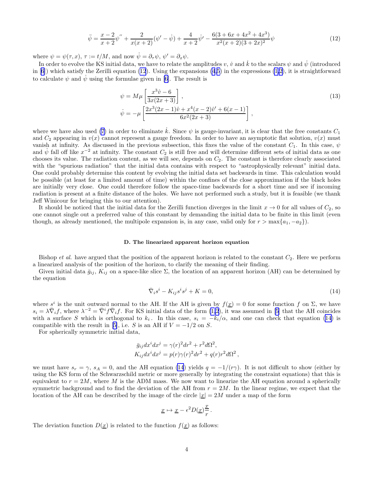$$
\ddot{\psi} = \frac{x-2}{x+2}\psi'' + \frac{2}{x(x+2)}(\psi' - \dot{\psi}) + \frac{4}{x+2}\dot{\psi}' - \frac{6(3+6x+4x^2+4x^3)}{x^2(x+2)(3+2x)^2}\psi
$$
\n(12)

<span id="page-4-0"></span>where  $\psi = \psi(\tau, x)$ ,  $\tau := t/M$ , and now  $\dot{\psi} = \partial_{\tau} \psi$ ,  $\psi' = \partial_{x} \psi$ .

In order to evolve the KS initial data, we have to relate the amplitudes v,  $\dot{v}$  and  $\dot{k}$  to the scalars  $\psi$  and  $\dot{\psi}$  (introduced in  $[6]$ ) which satisfy the Zerilli equation (12). Using the expansions  $(4,5)$  in the expressions  $(1,2)$ , it is straightforward to calculate  $\psi$  and  $\psi$  using the formulae given in [\[6](#page-8-0)]. The result is

$$
\psi = M\mu \left[ \frac{x^3 \hat{v} - 6}{3x(2x+3)} \right],
$$
  
\n
$$
\dot{\psi} = -\mu \left[ \frac{2x^3(2x-1)\hat{v} + x^4(x-2)\hat{v}' + 6(x-1)}{6x^2(2x+3)} \right],
$$
\n(13)

where we have also used [\(7](#page-3-0)) in order to eliminate k. Since  $\psi$  is gauge-invariant, it is clear that the free constants  $C_1$ and  $C_2$  appearing in  $v(x)$  cannot represent a gauge freedom. In order to have an asymptotic flat solution,  $v(x)$  must vanish at infinity. As discussed in the previous subsection, this fixes the value of the constant  $C_1$ . In this case,  $\psi$ and  $\dot{\psi}$  fall off like  $x^{-2}$  at infinity. The constant  $C_2$  is still free and will determine different sets of initial data as one chooses its value. The radiation content, as we will see, depends on  $C_2$ . The constant is therefore clearly associated with the "spurious radiation" that the initial data contains with respect to "astrophysically relevant" initial data. One could probably determine this content by evolving the initial data set backwards in time. This calculation would be possible (at least for a limited amount of time) within the confines of the close approximation if the black holes are initially very close. One could therefore follow the space-time backwards for a short time and see if incoming radiation is present at a finite distance of the holes. We have not performed such a study, but it is feasible (we thank Jeff Winicour for bringing this to our attention).

It should be noticed that the initial data for the Zerilli function diverges in the limit  $x \to 0$  for all values of  $C_2$ , so one cannot single out a preferred value of this constant by demanding the initial data to be finite in this limit (even though, as already mentioned, the multipole expansion is, in any case, valid only for  $r > \max\{a_1, -a_2\}$ .

### D. The linearized apparent horizon equation

Bishop *et al.* have argued that the position of the apparent horizon is related to the constant  $C_2$ . Here we perform a linearized analysis of the position of the horizon, to clarify the meaning of their finding.

Given initial data  $\bar{g}_{ij}$ ,  $K_{ij}$  on a space-like slice  $\Sigma$ , the location of an apparent horizon (AH) can be determined by the equation

$$
\overline{\nabla}_i s^i - K_{ij} s^i s^j + K = 0,\t\t(14)
$$

where  $s^i$  is the unit outward normal to the AH. If the AH is given by  $f(x) = 0$  for some function f on  $\Sigma$ , we have  $s_i = \lambda \bar{\nabla}_i f$ , where  $\lambda^{-2} = \bar{\nabla}^i f \bar{\nabla}_i f$ . For KS initial data of the form  $(1,2)$ , it was assumed in [\[5](#page-8-0)] that the AH coincides with a surface S which is orthogonal to  $k_i$ . In this case,  $s_i = -k_i/\alpha$ , and one can check that equation (14) is compatiblewith the result in [[5\]](#page-8-0), i.e. S is an AH if  $V = -1/2$  on S.

For spherically symmetric initial data,

$$
\bar{g}_{ij}dx^i dx^j = \gamma(r)^2 dr^2 + r^2 d\Omega^2,
$$
  
\n
$$
K_{ij}dx^i dx^j = p(r)\gamma(r)^2 dr^2 + q(r)r^2 d\Omega^2,
$$

we must have  $s_r = \gamma$ ,  $s_A = 0$ , and the AH equation (14) yields  $q = -1/(r\gamma)$ . It is not difficult to show (either by using the KS form of the Schwarzschild metric or more generally by integrating the constraint equations) that this is equivalent to  $r = 2M$ , where M is the ADM mass. We now want to linearize the AH equation around a spherically symmetric background and to find the deviation of the AH from  $r = 2M$ . In the linear regime, we expect that the location of the AH can be described by the image of the circle  $|\underline{x}| = 2M$  under a map of the form

$$
\underline{x} \mapsto \underline{x} - \epsilon^2 D(\underline{x}) \frac{\underline{x}}{r} \, .
$$

The deviation function  $D(\underline{x})$  is related to the function  $f(\underline{x})$  as follows: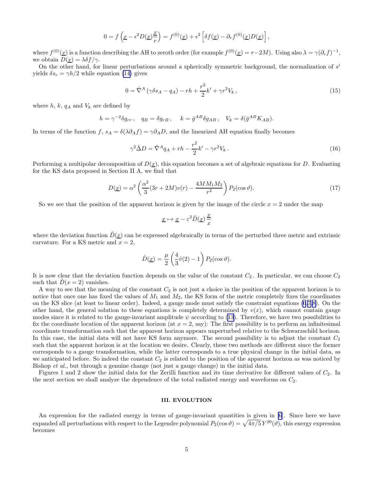$$
0 = f\left(\underline{x} - \epsilon^2 D(\underline{x})\frac{\underline{x}}{r}\right) = f^{(0)}(\underline{x}) + \epsilon^2 \left[\delta f(\underline{x}) - \partial_r f^{(0)}(\underline{x}) D(\underline{x})\right],
$$

where  $f^{(0)}(\underline{x})$  is a function describing the AH to zeroth order (for example  $f^{(0)}(\underline{x}) = r - 2M$ ). Using also  $\lambda = \gamma(\partial_r f)^{-1}$ , we obtain  $D(\underline{x}) = \lambda \delta f / \gamma$ .

On the other hand, for linear perturbations around a spherically symmetric background, the normalization of  $s<sup>i</sup>$ yields  $\delta s_r = \gamma h/2$  while equation [\(14\)](#page-4-0) gives

$$
0 = \hat{\nabla}^{A} \left( \gamma \delta s_{A} - q_{A} \right) - rh + \frac{r^{2}}{2} k' + \gamma r^{2} V_{k} , \qquad (15)
$$

where  $h, k, q_A$  and  $V_k$  are defined by

$$
h = \gamma^{-2} \delta g_{rr}, \quad q_B = \delta g_{rB}, \quad k = \bar{g}^{AB} \delta g_{AB}, \quad V_k = \delta (\bar{g}^{AB} K_{AB}).
$$

In terms of the function f,  $s_A = \delta(\lambda \partial_A f) = \gamma \partial_A D$ , and the linearized AH equation finally becomes

$$
\gamma^2 \hat{\Delta} D = \hat{\nabla}^A q_A + rh - \frac{r^2}{2} k' - \gamma r^2 V_k. \tag{16}
$$

Performing a multipolar decomposition of  $D(x)$ , this equation becomes a set of algebraic equations for D. Evaluating for the KS data proposed in Section II A, we find that

$$
D(\underline{x}) = \alpha^2 \left( \frac{\alpha^2}{3} (3r + 2M)v(r) - \frac{4MM_1M_2}{r^2} \right) P_2(\cos \vartheta). \tag{17}
$$

So we see that the position of the apparent horizon is given by the image of the circle  $x = 2$  under the map

$$
\underline{x} \mapsto \underline{x} - \varepsilon^2 \hat{D}(\underline{x}) \, \frac{\underline{x}}{x}
$$

where the deviation function  $\hat{D}(\underline{x})$  can be expressed algebraically in terms of the perturbed three metric and extrinsic curvature. For a KS metric and  $x = 2$ ,

$$
\hat{D}(\underline{x}) = \frac{\mu}{2} \left( \frac{4}{3} \hat{v}(2) - 1 \right) P_2(\cos \vartheta).
$$

It is now clear that the deviation function depends on the value of the constant  $C_2$ . In particular, we can choose  $C_2$ such that  $D(x = 2)$  vanishes.

A way to see that the meaning of the constant  $C_2$  is not just a choice in the position of the apparent horizon is to notice that once one has fixed the values of  $M_1$  and  $M_2$ , the KS form of the metric completely fixes the coordinates on the KS slice (at least to linear order). Indeed, a gauge mode must satisfy the constraint equations [\(6,7](#page-3-0),[8\)](#page-3-0). On the other hand, the general solution to these equations is completely determined by  $v(x)$ , which cannot contain gauge modessince it is related to the gauge-invariant amplitude  $\psi$  according to ([13](#page-4-0)). Therefore, we have two possibilities to fix the coordinate location of the apparent horizon (at  $x = 2$ , say): The first possibility is to perform an infinitesimal coordinate transformation such that the apparent horizon appears unperturbed relative to the Schwarzschild horizon. In this case, the initial data will not have KS form anymore. The second possibility is to adjust the constant  $C_2$ such that the apparent horizon is at the location we desire. Clearly, these two methods are different since the former corresponds to a gauge transformation, while the latter corresponds to a true physical change in the initial data, as we anticipated before. So indeed the constant  $C_2$  is related to the position of the apparent horizon as was noticed by Bishop et al., but through a genuine change (not just a gauge change) in the initial data.

Figures 1 and 2 show the initial data for the Zerilli function and its time derivative for different values of  $C_2$ . In the next section we shall analyze the dependence of the total radiated energy and waveforms on  $C_2$ .

# III. EVOLUTION

An expression for the radiated energy in terms of gauge-invariant quantities is given in [\[6](#page-8-0)]. Since here we have expanded all perturbations with respect to the Legendre polynomial  $P_2(\cos \vartheta) = \sqrt{4\pi/5} Y^{20}(\vartheta)$ , this energy expression becomes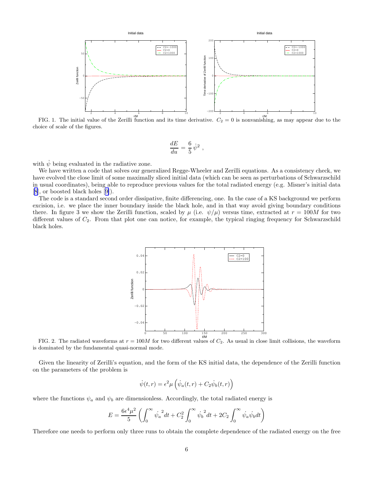

FIG. 1. The initial value of the Zerilli function and its time derivative.  $C_2 = 0$  is nonvanishing, as may appear due to the choice of scale of the figures.

$$
\frac{dE}{du}=\frac{6}{5}\,\dot\psi^2~,
$$

with  $\psi$  being evaluated in the radiative zone.

We have written a code that solves our generalized Regge-Wheeler and Zerilli equations. As a consistency check, we have evolved the close limit of some maximally sliced initial data (which can be seen as perturbations of Schwarzschild in usual coordinates), being able to reproduce previous values for the total radiated energy (e.g. Misner's initial data [[8\]](#page-8-0), or boosted black holes[[9\]](#page-8-0)).

The code is a standard second order dissipative, finite differencing, one. In the case of a KS background we perform excision, i.e. we place the inner boundary inside the black hole, and in that way avoid giving boundary conditions there. In figure 3 we show the Zerilli function, scaled by  $\mu$  (i.e.  $\psi/\mu$ ) versus time, extracted at  $r = 100M$  for two different values of  $C_2$ . From that plot one can notice, for example, the typical ringing frequency for Schwarzschild black holes.



FIG. 2. The radiated waveforms at  $r = 100M$  for two different values of  $C_2$ . As usual in close limit collisions, the waveform is dominated by the fundamental quasi-normal mode.

Given the linearity of Zerilli's equation, and the form of the KS initial data, the dependence of the Zerilli function on the parameters of the problem is

$$
\dot{\psi}(t,r) = \epsilon^2 \mu \left( \dot{\psi}_a(t,r) + C_2 \dot{\psi}_b(t,r) \right)
$$

where the functions  $\psi_a$  and  $\psi_b$  are dimensionless. Accordingly, the total radiated energy is

$$
E=\frac{6\epsilon^4\mu^2}{5}\left(\int_0^\infty {{\dot{\psi_a}}^2} dt+C_2^2\int_0^\infty {{\dot{\psi_b}}^2} dt+2C_2\int_0^\infty {{\dot{\psi_a}}}{\dot{\psi_b}} dt\right)
$$

Therefore one needs to perform only three runs to obtain the complete dependence of the radiated energy on the free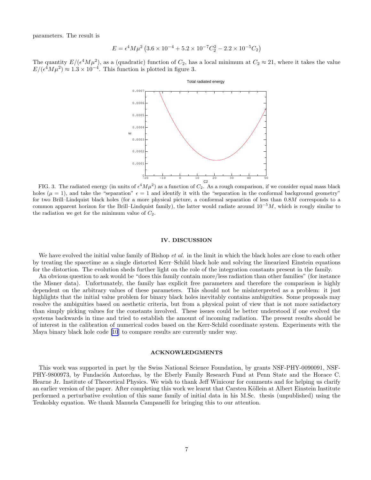parameters. The result is

$$
E = \epsilon^4 M \mu^2 \left( 3.6 \times 10^{-4} + 5.2 \times 10^{-7} C_2^2 - 2.2 \times 10^{-5} C_2 \right)
$$

The quantity  $E/(\epsilon^4 M \mu^2)$ , as a (quadratic) function of  $C_2$ , has a local minimum at  $C_2 \approx 21$ , where it takes the value  $E/(\epsilon^4 M \mu^2) \approx 1.3 \times 10^{-4}$ . This function is plotted in figure 3.



FIG. 3. The radiated energy (in units of  $\epsilon^4 M \mu^2$ ) as a function of  $C_2$ . As a rough comparison, if we consider equal mass black holes ( $\mu = 1$ ), and take the "separation"  $\epsilon = 1$  and identify it with the "separation in the conformal background geometry" for two Brill–Lindquist black holes (for a more physical picture, a conformal separation of less than 0.8M corresponds to a common apparent horizon for the Brill–Lindquist family), the latter would radiate around  $10^{-5}M$ , which is rougly similar to the radiation we get for the minimum value of  $C_2$ .

## IV. DISCUSSION

We have evolved the initial value family of Bishop *et al.* in the limit in which the black holes are close to each other by treating the spacetime as a single distorted Kerr–Schild black hole and solving the linearized Einstein equations for the distortion. The evolution sheds further light on the role of the integration constants present in the family.

An obvious question to ask would be "does this family contain more/less radiation than other families" (for instance the Misner data). Unfortunately, the family has explicit free parameters and therefore the comparison is highly dependent on the arbitrary values of these parameters. This should not be misinterpreted as a problem: it just highlights that the initial value problem for binary black holes inevitably contains ambiguities. Some proposals may resolve the ambiguities based on aesthetic criteria, but from a physical point of view that is not more satisfactory than simply picking values for the constants involved. These issues could be better understood if one evolved the systems backwards in time and tried to establish the amount of incoming radiation. The present results should be of interest in the calibration of numerical codes based on the Kerr-Schild coordinate system. Experiments with the Maya binary black hole code [\[10](#page-8-0)] to compare results are currently under way.

# ACKNOWLEDGMENTS

This work was supported in part by the Swiss National Science Foundation, by grants NSF-PHY-0090091, NSF-PHY-9800973, by Fundación Antorchas, by the Eberly Family Research Fund at Penn State and the Horace C. Hearne Jr. Institute of Theoretical Physics. We wish to thank Jeff Winicour for comments and for helping us clarify an earlier version of the paper. After completing this work we learnt that Carsten Köllein at Albert Einstein Institute performed a perturbative evolution of this same family of initial data in his M.Sc. thesis (unpublished) using the Teukolsky equation. We thank Manuela Campanelli for bringing this to our attention.